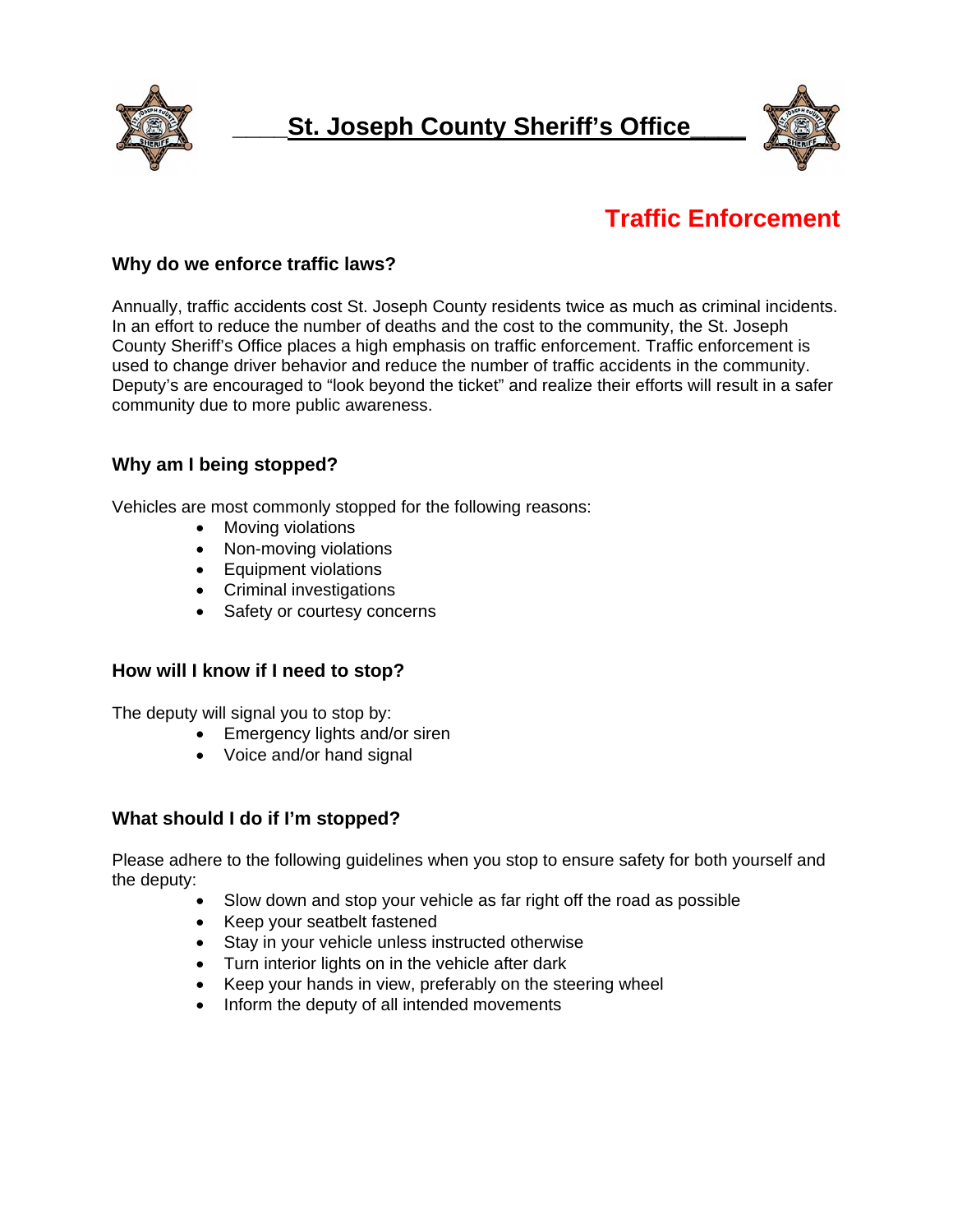



# **Traffic Enforcement**

## **Why do we enforce traffic laws?**

Annually, traffic accidents cost St. Joseph County residents twice as much as criminal incidents. In an effort to reduce the number of deaths and the cost to the community, the St. Joseph County Sheriff's Office places a high emphasis on traffic enforcement. Traffic enforcement is used to change driver behavior and reduce the number of traffic accidents in the community. Deputy's are encouraged to "look beyond the ticket" and realize their efforts will result in a safer community due to more public awareness.

# **Why am I being stopped?**

Vehicles are most commonly stopped for the following reasons:

- Moving violations
- Non-moving violations
- Equipment violations
- Criminal investigations
- Safety or courtesy concerns

#### **How will I know if I need to stop?**

The deputy will signal you to stop by:

- Emergency lights and/or siren
- Voice and/or hand signal

#### **What should I do if I'm stopped?**

Please adhere to the following guidelines when you stop to ensure safety for both yourself and the deputy:

- Slow down and stop your vehicle as far right off the road as possible
- Keep your seatbelt fastened
- Stay in your vehicle unless instructed otherwise
- Turn interior lights on in the vehicle after dark
- Keep your hands in view, preferably on the steering wheel
- Inform the deputy of all intended movements